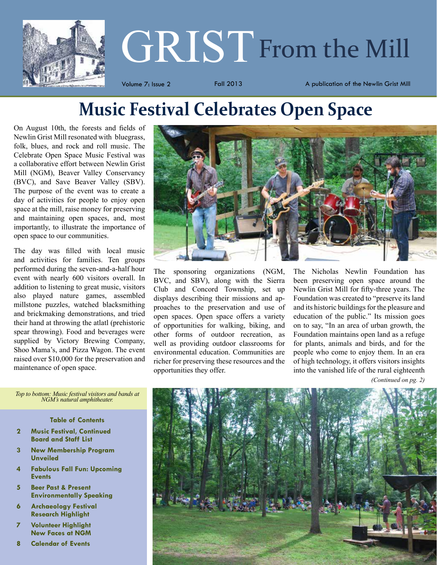

# **GRIST** From the Mill

Volume 7: Issue 2 Tall 2013 A publication of the Newlin Grist Mill

# **Music Festival Celebrates Open Space**

On August 10th, the forests and fields of Newlin Grist Mill resonated with bluegrass, folk, blues, and rock and roll music. The Celebrate Open Space Music Festival was a collaborative effort between Newlin Grist Mill (NGM), Beaver Valley Conservancy (BVC), and Save Beaver Valley (SBV). The purpose of the event was to create a day of activities for people to enjoy open space at the mill, raise money for preserving and maintaining open spaces, and, most importantly, to illustrate the importance of open space to our communities.

The day was filled with local music and activities for families. Ten groups performed during the seven-and-a-half hour event with nearly 600 visitors overall. In addition to listening to great music, visitors also played nature games, assembled millstone puzzles, watched blacksmithing and brickmaking demonstrations, and tried their hand at throwing the atlatl (prehistoric spear throwing). Food and beverages were supplied by Victory Brewing Company, Shoo Mama's, and Pizza Wagon. The event raised over \$10,000 for the preservation and maintenance of open space.



The sponsoring organizations (NGM, BVC, and SBV), along with the Sierra Club and Concord Township, set up displays describing their missions and approaches to the preservation and use of open spaces. Open space offers a variety of opportunities for walking, biking, and other forms of outdoor recreation, as well as providing outdoor classrooms for environmental education. Communities are richer for preserving these resources and the opportunities they offer.

The Nicholas Newlin Foundation has been preserving open space around the Newlin Grist Mill for fifty-three years. The Foundation was created to "preserve its land and its historic buildings for the pleasure and education of the public." Its mission goes on to say, "In an area of urban growth, the Foundation maintains open land as a refuge for plants, animals and birds, and for the people who come to enjoy them. In an era of high technology, it offers visitors insights into the vanished life of the rural eighteenth

*(Continued on pg. 2)*



*Top to bottom: Music festival visitors and bands at NGM's natural amphitheater.*

**Table of Contents**

- **2 Music Festival, Continued Board and Staff List**
- **3 New Membership Program Unveiled**
- **4 Fabulous Fall Fun: Upcoming Events**
- **5 Beer Past & Present Environmentally Speaking**
- **6 Archaeology Festival Research Highlight**
- **7 Volunteer Highlight New Faces at NGM**
- **8 Calendar of Events**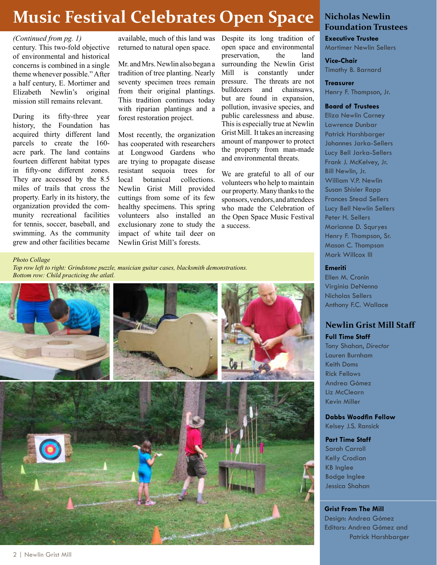# **Music Festival Celebrates Open Space**

#### *(Continued from pg. 1)*

century. This two-fold objective of environmental and historical concerns is combined in a single theme whenever possible." After a half century, E. Mortimer and Elizabeth Newlin's original mission still remains relevant.

During its fifty-three year history, the Foundation has acquired thirty different land parcels to create the 160 acre park. The land contains fourteen different habitat types in fifty-one different zones. They are accessed by the 8.5 miles of trails that cross the property. Early in its history, the organization provided the community recreational facilities for tennis, soccer, baseball, and swimming. As the community grew and other facilities became available, much of this land was returned to natural open space.

Mr. and Mrs. Newlin also began a tradition of tree planting. Nearly seventy specimen trees remain from their original plantings. This tradition continues today with riparian plantings and a forest restoration project.

Most recently, the organization has cooperated with researchers at Longwood Gardens who are trying to propagate disease resistant sequoia trees for local botanical collections. Newlin Grist Mill provided cuttings from some of its few healthy specimens. This spring volunteers also installed an exclusionary zone to study the impact of white tail deer on Newlin Grist Mill's forests.

Despite its long tradition of open space and environmental preservation, the land surrounding the Newlin Grist Mill is constantly under pressure. The threats are not bulldozers and chainsaws, but are found in expansion, pollution, invasive species, and public carelessness and abuse. This is especially true at Newlin Grist Mill. It takes an increasing amount of manpower to protect the property from man-made and environmental threats.

We are grateful to all of our volunteers who help to maintain our property. Many thanks to the sponsors, vendors, and attendees who made the Celebration of the Open Space Music Festival a success.

*Photo Collage Top row left to right: Grindstone puzzle, musician guitar cases, blacksmith demonstrations. Bottom row: Child practicing the atlatl.*



#### **Nicholas Newlin Foundation Trustees**

**Executive Trustee** Mortimer Newlin Sellers

**Vice-Chair** Timothy B. Barnard

**Treasurer** Henry F. Thompson, Jr.

**Board of Trustees**

Eliza Newlin Carney Lawrence Dunbar Patrick Harshbarger Johannes Jarka-Sellers Lucy Bell Jarka-Sellers Frank J. McKelvey, Jr. Bill Newlin, Jr. William V.P. Newlin Susan Shisler Rapp Frances Stead Sellers Lucy Bell Newlin Sellers Peter H. Sellers Marianne D. Squryes Henry F. Thompson, Sr. Mason C. Thompson Mark Willcox III

#### **Emeriti**

Ellen M. Cronin Virginia DeNenno Nicholas Sellers Anthony F.C. Wallace

#### **Newlin Grist Mill Staff**

**Full Time Staff**

Tony Shahan, *Director* Lauren Burnham Keith Doms Rick Fellows Andrea Gómez Liz McClearn Kevin Miller

**Dabbs Woodfin Fellow** Kelsey J.S. Ransick

#### **Part Time Staff**

Sarah Carroll Kelly Crodian KB Inglee Bodge Inglee Jessica Shahan

#### **Grist From The Mill**

Design: Andrea Gómez Editors: Andrea Gómez and Patrick Harshbarger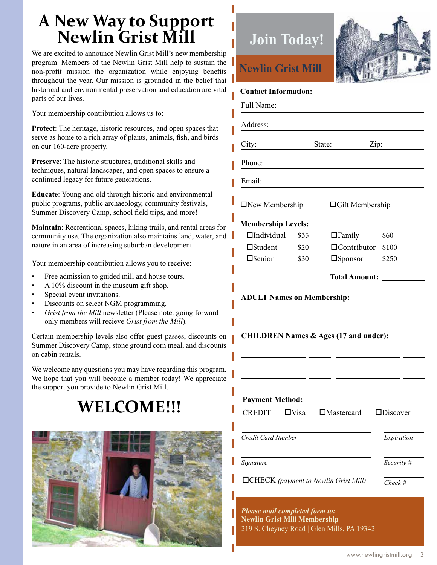# **A New Way to Support Newlin Grist Mill**

We are excited to announce Newlin Grist Mill's new membership program. Members of the Newlin Grist Mill help to sustain the non-profit mission the organization while enjoying benefits throughout the year. Our mission is grounded in the belief that historical and environmental preservation and education are vital parts of our lives.

Your membership contribution allows us to:

**Protect**: The heritage, historic resources, and open spaces that serve as home to a rich array of plants, animals, fish, and birds on our 160-acre property.

**Preserve**: The historic structures, traditional skills and techniques, natural landscapes, and open spaces to ensure a continued legacy for future generations.

**Educate**: Young and old through historic and environmental public programs, public archaeology, community festivals, Summer Discovery Camp, school field trips, and more!

**Maintain**: Recreational spaces, hiking trails, and rental areas for community use. The organization also maintains land, water, and nature in an area of increasing suburban development.

Your membership contribution allows you to receive:

- Free admission to guided mill and house tours.
- A 10% discount in the museum gift shop.
- Special event invitations.
- Discounts on select NGM programming.
- *• Grist from the Mill* newsletter (Please note: going forward only members will recieve *Grist from the Mill*).

Certain membership levels also offer guest passes, discounts on Summer Discovery Camp, stone ground corn meal, and discounts on cabin rentals.

We welcome any questions you may have regarding this program. We hope that you will become a member today! We appreciate the support you provide to Newlin Grist Mill.

# **WELCOME!!!**



# **Join Today! Newlin Grist Mill ADULT Names on Membership: CHILDREN Names & Ages (17 and under):** Full Name: Address: City: State: Zip: Phone: Email: **Contact Information: Payment Method:** CREDIT **O**Visa **C**Mastercard **OD**iscover *Credit Card Number Signature Expiration Security #* **Membership Levels:**  $\Box$ Individual \$35  $\Box$ Student \$20 □Senior \$30  $\Box$ Family \$60 Contributor \$100 Sponsor \$250 **Total Amount:**  $\Box$ New Membership  $\Box$ Gift Membership

CHECK *(payment to Newlin Grist Mill) Check #*

*Please mail completed form to:* **Newlin Grist Mill Membership** 219 S. Cheyney Road | Glen Mills, PA 19342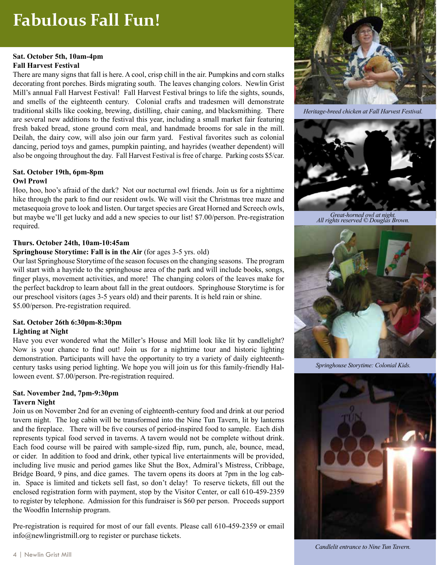# **Fabulous Fall Fun!**

#### **Sat. October 5th, 10am-4pm Fall Harvest Festival**

There are many signs that fall is here. A cool, crisp chill in the air. Pumpkins and corn stalks decorating front porches. Birds migrating south. The leaves changing colors. Newlin Grist Mill's annual Fall Harvest Festival! Fall Harvest Festival brings to life the sights, sounds, and smells of the eighteenth century. Colonial crafts and tradesmen will demonstrate traditional skills like cooking, brewing, distilling, chair caning, and blacksmithing. There are several new additions to the festival this year, including a small market fair featuring fresh baked bread, stone ground corn meal, and handmade brooms for sale in the mill. Deilah, the dairy cow, will also join our farm yard. Festival favorites such as colonial dancing, period toys and games, pumpkin painting, and hayrides (weather dependent) will also be ongoing throughout the day. Fall Harvest Festival is free of charge. Parking costs \$5/car.

#### **Sat. October 19th, 6pm-8pm Owl Prowl**

Hoo, hoo, hoo's afraid of the dark? Not our nocturnal owl friends. Join us for a nighttime hike through the park to find our resident owls. We will visit the Christmas tree maze and metasequoia grove to look and listen. Our target species are Great Horned and Screech owls, but maybe we'll get lucky and add a new species to our list! \$7.00/person. Pre-registration required.

#### **Thurs. October 24th, 10am-10:45am**

#### **Springhouse Storytime: Fall is in the Air** (for ages 3-5 yrs. old)

Our last Springhouse Storytime of the season focuses on the changing seasons. The program will start with a hayride to the springhouse area of the park and will include books, songs, finger plays, movement activities, and more! The changing colors of the leaves make for the perfect backdrop to learn about fall in the great outdoors. Springhouse Storytime is for our preschool visitors (ages 3-5 years old) and their parents. It is held rain or shine. \$5.00/person. Pre-registration required.

#### **Sat. October 26th 6:30pm-8:30pm Lighting at Night**

Have you ever wondered what the Miller's House and Mill look like lit by candlelight? Now is your chance to find out! Join us for a nighttime tour and historic lighting demonstration. Participants will have the opportunity to try a variety of daily eighteenthcentury tasks using period lighting. We hope you will join us for this family-friendly Halloween event. \$7.00/person. Pre-registration required.

#### **Sat. November 2nd, 7pm-9:30pm Tavern Night**

Join us on November 2nd for an evening of eighteenth-century food and drink at our period tavern night. The log cabin will be transformed into the Nine Tun Tavern, lit by lanterns and the fireplace. There will be five courses of period-inspired food to sample. Each dish represents typical food served in taverns. A tavern would not be complete without drink. Each food course will be paired with sample-sized flip, rum, punch, ale, bounce, mead, or cider. In addition to food and drink, other typical live entertainments will be provided, including live music and period games like Shut the Box, Admiral's Mistress, Cribbage, Bridge Board, 9 pins, and dice games. The tavern opens its doors at 7pm in the log cabin. Space is limited and tickets sell fast, so don't delay! To reserve tickets, fill out the enclosed registration form with payment, stop by the Visitor Center, or call 610-459-2359 to register by telephone. Admission for this fundraiser is \$60 per person. Proceeds support the Woodfin Internship program.

Pre-registration is required for most of our fall events. Please call 610-459-2359 or email info@newlingristmill.org to register or purchase tickets.



*Heritage-breed chicken at Fall Harvest Festival.*



*Great-horned owl at night. All rights reserved © Douglas Brown.*



*Springhouse Storytime: Colonial Kids.*



*Candlelit entrance to Nine Tun Tavern.*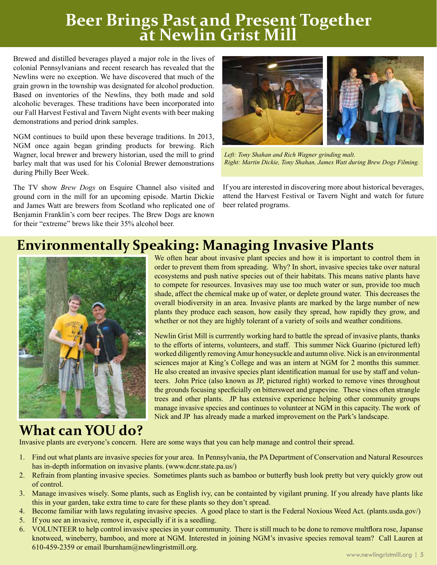# **Beer Brings Past and Present Together at Newlin Grist Mill**

Brewed and distilled beverages played a major role in the lives of colonial Pennsylvanians and recent research has revealed that the Newlins were no exception. We have discovered that much of the grain grown in the township was designated for alcohol production. Based on inventories of the Newlins, they both made and sold alcoholic beverages. These traditions have been incorporated into our Fall Harvest Festival and Tavern Night events with beer making demonstrations and period drink samples.

NGM continues to build upon these beverage traditions. In 2013, NGM once again began grinding products for brewing. Rich Wagner, local brewer and brewery historian, used the mill to grind barley malt that was used for his Colonial Brewer demonstrations during Philly Beer Week.

The TV show *Brew Dogs* on Esquire Channel also visited and ground corn in the mill for an upcoming episode. Martin Dickie and James Watt are brewers from Scotland who replicated one of Benjamin Franklin's corn beer recipes. The Brew Dogs are known for their "extreme" brews like their 35% alcohol beer.



*Left: Tony Shahan and Rich Wagner grinding malt. Right: Martin Dickie, Tony Shahan, James Watt during Brew Dogs Filming.*

If you are interested in discovering more about historical beverages, attend the Harvest Festival or Tavern Night and watch for future beer related programs.

## **Environmentally Speaking: Managing Invasive Plants**



We often hear about invasive plant species and how it is important to control them in order to prevent them from spreading. Why? In short, invasive species take over natural ecosystems and push native species out of their habitats. This means native plants have to compete for resources. Invasives may use too much water or sun, provide too much shade, affect the chemical make up of water, or deplete ground water. This decreases the overall biodiversity in an area. Invasive plants are marked by the large number of new plants they produce each season, how easily they spread, how rapidly they grow, and whether or not they are highly tolerant of a variety of soils and weather conditions.

Newlin Grist Mill is currrently working hard to battle the spread of invasive plants, thanks to the efforts of interns, volunteers, and staff. This summer Nick Guarino (pictured left) worked diligently removing Amur honeysuckle and autumn olive. Nick is an environmental sciences major at King's College and was an intern at NGM for 2 months this summer. He also created an invasive species plant identification manual for use by staff and volunteers. John Price (also known as JP, pictured right) worked to remove vines throughout the grounds focusing specficially on bittersweet and grapevine. These vines often strangle trees and other plants. JP has extensive experience helping other community groups manage invasive species and continues to volunteer at NGM in this capacity. The work of Nick and JP has already made a marked improvement on the Park's landscape.

### **What can YOU do?**

Invasive plants are everyone's concern. Here are some ways that you can help manage and control their spread.

- 1. Find out what plants are invasive species for your area. In Pennsylvania, the PA Department of Conservation and Natural Resources has in-depth information on invasive plants. (www.dcnr.state.pa.us/)
- 2. Refrain from planting invasive species. Sometimes plants such as bamboo or butterfly bush look pretty but very quickly grow out of control.
- 3. Manage invasives wisely. Some plants, such as English ivy, can be containted by vigilant pruning. If you already have plants like this in your garden, take extra time to care for these plants so they don't spread.
- 4. Become familiar with laws regulating invasive species. A good place to start is the Federal Noxious Weed Act. (plants.usda.gov/)
- 5. If you see an invasive, remove it, especially if it is a seedling.
- 6. VOLUNTEER to help control invasive species in your community. There is still much to be done to remove multflora rose, Japanse knotweed, wineberry, bamboo, and more at NGM. Interested in joining NGM's invasive species removal team? Call Lauren at 610-459-2359 or email lburnham@newlingristmill.org.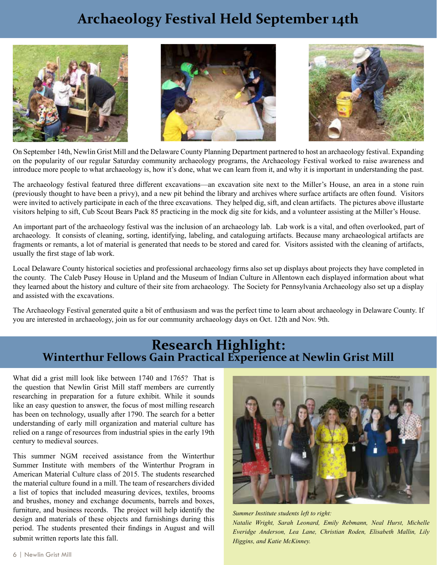## **Archaeology Festival Held September 14th**







On September 14th, Newlin Grist Mill and the Delaware County Planning Department partnered to host an archaeology festival. Expanding on the popularity of our regular Saturday community archaeology programs, the Archaeology Festival worked to raise awareness and introduce more people to what archaeology is, how it's done, what we can learn from it, and why it is important in understanding the past.

The archaeology festival featured three different excavations—an excavation site next to the Miller's House, an area in a stone ruin (previously thought to have been a privy), and a new pit behind the library and archives where surface artifacts are often found. Visitors were invited to actively participate in each of the three excavations. They helped dig, sift, and clean artifacts. The pictures above illustarte visitors helping to sift, Cub Scout Bears Pack 85 practicing in the mock dig site for kids, and a volunteer assisting at the Miller's House.

An important part of the archaeology festival was the inclusion of an archaeology lab. Lab work is a vital, and often overlooked, part of archaeology. It consists of cleaning, sorting, identifying, labeling, and cataloguing artifacts. Because many archaeological artifacts are fragments or remants, a lot of material is generated that needs to be stored and cared for. Visitors assisted with the cleaning of artifacts, usually the first stage of lab work.

Local Delaware County historical societies and professional archaeology firms also set up displays about projects they have completed in the county. The Caleb Pusey House in Upland and the Museum of Indian Culture in Allentown each displayed information about what they learned about the history and culture of their site from archaeology. The Society for Pennsylvania Archaeology also set up a display and assisted with the excavations.

The Archaeology Festival generated quite a bit of enthusiasm and was the perfect time to learn about archaeology in Delaware County. If you are interested in archaeology, join us for our community archaeology days on Oct. 12th and Nov. 9th.

# **Research Highlight:**<br>Winterthur Fellows Gain Practical Experience at Newlin Grist Mill

What did a grist mill look like between 1740 and 1765? That is the question that Newlin Grist Mill staff members are currently researching in preparation for a future exhibit. While it sounds like an easy question to answer, the focus of most milling research has been on technology, usually after 1790. The search for a better understanding of early mill organization and material culture has relied on a range of resources from industrial spies in the early 19th century to medieval sources.

This summer NGM received assistance from the Winterthur Summer Institute with members of the Winterthur Program in American Material Culture class of 2015. The students researched the material culture found in a mill. The team of researchers divided a list of topics that included measuring devices, textiles, brooms and brushes, money and exchange documents, barrels and boxes, furniture, and business records. The project will help identify the design and materials of these objects and furnishings during this period. The students presented their findings in August and will submit written reports late this fall.



*Summer Institute students left to right: Natalie Wright, Sarah Leonard, Emily Rebmann, Neal Hurst, Michelle Everidge Anderson, Lea Lane, Christian Roden, Elisabeth Mallin, Lily Higgins, and Katie McKinney.*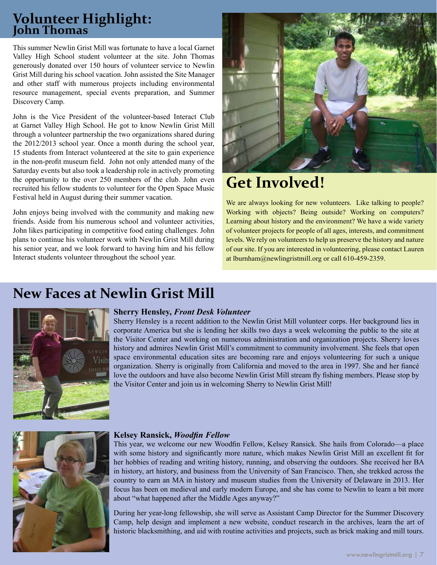### **Volunteer Highlight: John Thomas**

This summer Newlin Grist Mill was fortunate to have a local Garnet Valley High School student volunteer at the site. John Thomas generously donated over 150 hours of volunteer service to Newlin Grist Mill during his school vacation. John assisted the Site Manager and other staff with numerous projects including environmental resource management, special events preparation, and Summer Discovery Camp.

John is the Vice President of the volunteer-based Interact Club at Garnet Valley High School. He got to know Newlin Grist Mill through a volunteer partnership the two organizations shared during the 2012/2013 school year. Once a month during the school year, 15 students from Interact volunteered at the site to gain experience in the non-profit museum field. John not only attended many of the Saturday events but also took a leadership role in actively promoting the opportunity to the over 250 members of the club. John even recruited his fellow students to volunteer for the Open Space Music Festival held in August during their summer vacation.

John enjoys being involved with the community and making new friends. Aside from his numerous school and volunteer activities, John likes participating in competitive food eating challenges. John plans to continue his volunteer work with Newlin Grist Mill during his senior year, and we look forward to having him and his fellow Interact students volunteer throughout the school year.



# **Get Involved!**

We are always looking for new volunteers. Like talking to people? Working with objects? Being outside? Working on computers? Learning about history and the environment? We have a wide variety of volunteer projects for people of all ages, interests, and commitment levels. We rely on volunteers to help us preserve the history and nature of our site. If you are interested in volunteering, please contact Lauren at lburnham@newlingristmill.org or call 610-459-2359.

## **New Faces at Newlin Grist Mill**



#### **Sherry Hensley,** *Front Desk Volunteer*

Sherry Hensley is a recent addition to the Newlin Grist Mill volunteer corps. Her background lies in corporate America but she is lending her skills two days a week welcoming the public to the site at the Visitor Center and working on numerous administration and organization projects. Sherry loves history and admires Newlin Grist Mill's commitment to community involvement. She feels that open space environmental education sites are becoming rare and enjoys volunteering for such a unique organization. Sherry is originally from California and moved to the area in 1997. She and her fiancé love the outdoors and have also become Newlin Grist Mill stream fly fishing members. Please stop by the Visitor Center and join us in welcoming Sherry to Newlin Grist Mill!



#### **Kelsey Ransick,** *Woodfin Fellow*

This year, we welcome our new Woodfin Fellow, Kelsey Ransick. She hails from Colorado—a place with some history and significantly more nature, which makes Newlin Grist Mill an excellent fit for her hobbies of reading and writing history, running, and observing the outdoors. She received her BA in history, art history, and business from the University of San Francisco. Then, she trekked across the country to earn an MA in history and museum studies from the University of Delaware in 2013. Her focus has been on medieval and early modern Europe, and she has come to Newlin to learn a bit more about "what happened after the Middle Ages anyway?"

During her year-long fellowship, she will serve as Assistant Camp Director for the Summer Discovery Camp, help design and implement a new website, conduct research in the archives, learn the art of historic blacksmithing, and aid with routine activities and projects, such as brick making and mill tours.